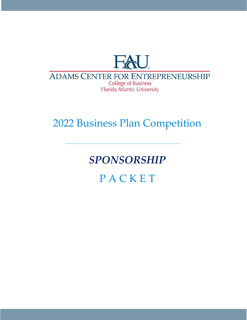

## **ADAMS CENTER FOR ENTREPRENEURSHIP College of Business** Florida Atlantic University

## 2022 Business Plan Competition

# *SPONSORSHIP*

**PACKET**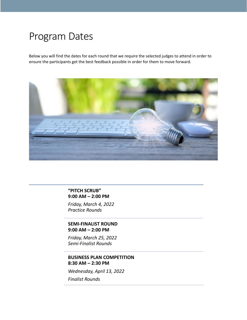## Program Dates

Below you will find the dates for each round that we require the selected judges to attend in order to ensure the participants get the best feedback possible in order for them to move forward.



**"PITCH SCRUB" 9:00 AM – 2:00 PM** 

*Friday, March 4, 2022 Practice Rounds*

**SEMI-FINALIST ROUND 9:00 AM – 2:00 PM** 

*Friday, March 25, 2022 Semi-Finalist Rounds*

#### **BUSINESS PLAN COMPETITION 8:30 AM – 2:30 PM**

*Wednesday, April 13, 2022*

*Finalist Rounds*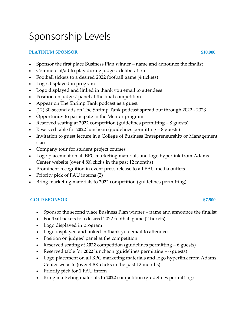# Sponsorship Levels

### **PLATINUM SPONSOR \$10,000**

- Sponsor the first place Business Plan winner name and announce the finalist
- Commercial/ad to play during judges' deliberation
- Football tickets to a desired 2022 football game (4 tickets)
- Logo displayed in program
- Logo displayed and linked in thank you email to attendees
- Position on judges' panel at the final competition
- Appear on The Shrimp Tank podcast as a guest
- (12) 30-second ads on The Shrimp Tank podcast spread out through 2022 2023
- Opportunity to participate in the Mentor program
- Reserved seating at **2022** competition (guidelines permitting 8 guests)
- Reserved table for **2022** luncheon (guidelines permitting 8 guests)
- Invitation to guest lecture in a College of Business Entrepreneurship or Management class
- Company tour for student project courses
- Logo placement on all BPC marketing materials and logo hyperlink from Adams Center website (over 4.8K clicks in the past 12 months)
- Prominent recognition in event press release to all FAU media outlets
- Priority pick of FAU interns (2)
- Bring marketing materials to **2022** competition (guidelines permitting)

#### **GOLD SPONSOR \$7,500**

- Sponsor the second place Business Plan winner name and announce the finalist
- Football tickets to a desired 2022 football game (2 tickets)
- Logo displayed in program
- Logo displayed and linked in thank you email to attendees
- Position on judges' panel at the competition
- Reserved seating at **2022** competition (guidelines permitting 6 guests)
- Reserved table for **2022** luncheon (guidelines permitting 6 guests)
- Logo placement on all BPC marketing materials and logo hyperlink from Adams Center website (over 4.8K clicks in the past 12 months)
- Priority pick for 1 FAU intern
- Bring marketing materials to **2022** competition (guidelines permitting)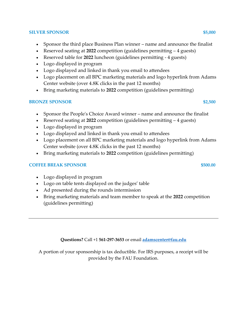#### **SILVER SPONSOR \$5,000 \$5,000 \$5,000 \$5,000 \$5,000 \$5,000 \$5,000 \$5,000 \$5,000 \$5,000 \$5,000 \$5,000 \$5,000 \$5,000 \$5,000 \$5,000 \$5,000 \$5,000 \$5,000 \$5,000 \$5,000 \$**

- Sponsor the third place Business Plan winner name and announce the finalist
- Reserved seating at **2022** competition (guidelines permitting 4 guests)
- Reserved table for **2022** luncheon (guidelines permitting 4 guests)
- Logo displayed in program
- Logo displayed and linked in thank you email to attendees
- Logo placement on all BPC marketing materials and logo hyperlink from Adams Center website (over 4.8K clicks in the past 12 months)
- Bring marketing materials to **2022** competition (guidelines permitting)

### **BRONZE SPONSOR \$2,500**

- Sponsor the People's Choice Award winner name and announce the finalist
- Reserved seating at **2022** competition (guidelines permitting 4 guests)
- Logo displayed in program
- Logo displayed and linked in thank you email to attendees
- Logo placement on all BPC marketing materials and logo hyperlink from Adams Center website (over 4.8K clicks in the past 12 months)
- Bring marketing materials to **2022** competition (guidelines permitting)

#### **COFFEE BREAK SPONSOR \$500.00**

- Logo displayed in program
- Logo on table tents displayed on the judges' table
- Ad presented during the rounds intermission
- Bring marketing materials and team member to speak at the **2022** competition (guidelines permitting)

### **Questions?** Call +1 **561-297-3653** or email **[adamscenter@fau.edu](mailto:adamscenter@fau.edu)**

A portion of your sponsorship is tax deductible. For IRS purposes, a receipt will be provided by the FAU Foundation.